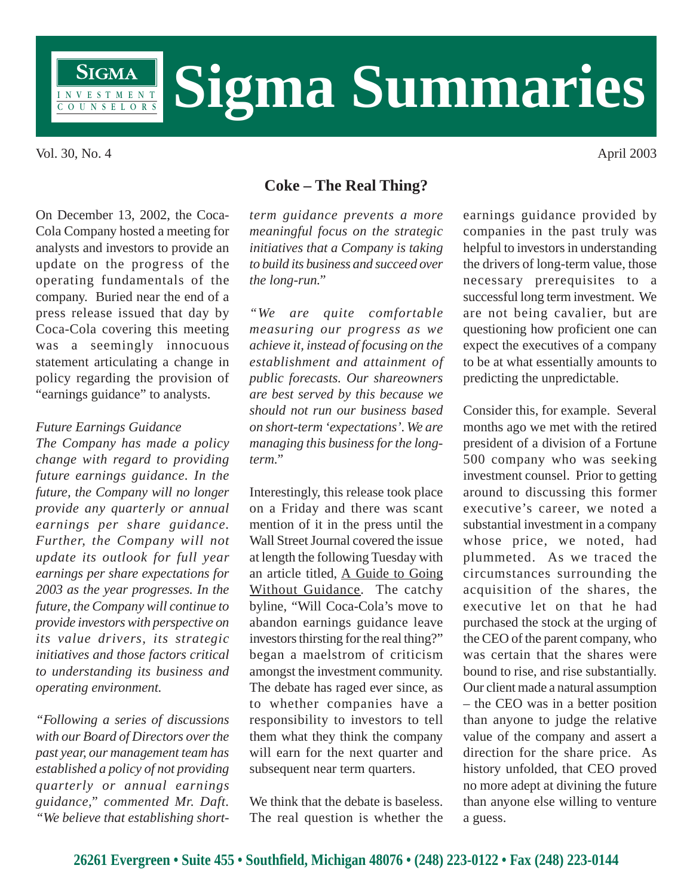

Vol. 30, No. 4 April 2003

On December 13, 2002, the Coca-Cola Company hosted a meeting for analysts and investors to provide an update on the progress of the operating fundamentals of the company. Buried near the end of a press release issued that day by Coca-Cola covering this meeting was a seemingly innocuous statement articulating a change in policy regarding the provision of "earnings guidance" to analysts.

## *Future Earnings Guidance*

*The Company has made a policy change with regard to providing future earnings guidance. In the future, the Company will no longer provide any quarterly or annual earnings per share guidance. Further, the Company will not update its outlook for full year earnings per share expectations for 2003 as the year progresses. In the future, the Company will continue to provide investors with perspective on its value drivers, its strategic initiatives and those factors critical to understanding its business and operating environment.*

*"Following a series of discussions with our Board of Directors over the past year, our management team has established a policy of not providing quarterly or annual earnings guidance," commented Mr. Daft. "We believe that establishing short-*

## **Coke – The Real Thing?**

*term guidance prevents a more meaningful focus on the strategic initiatives that a Company is taking to build its business and succeed over the long-run."*

*"We are quite comfortable measuring our progress as we achieve it, instead of focusing on the establishment and attainment of public forecasts. Our shareowners are best served by this because we should not run our business based on short-term 'expectations'. We are managing this business for the longterm."*

Interestingly, this release took place on a Friday and there was scant mention of it in the press until the Wall Street Journal covered the issue at length the following Tuesday with an article titled, A Guide to Going Without Guidance. The catchy byline, "Will Coca-Cola's move to abandon earnings guidance leave investors thirsting for the real thing?" began a maelstrom of criticism amongst the investment community. The debate has raged ever since, as to whether companies have a responsibility to investors to tell them what they think the company will earn for the next quarter and subsequent near term quarters.

We think that the debate is baseless. The real question is whether the earnings guidance provided by companies in the past truly was helpful to investors in understanding the drivers of long-term value, those necessary prerequisites to a successful long term investment. We are not being cavalier, but are questioning how proficient one can expect the executives of a company to be at what essentially amounts to predicting the unpredictable.

Consider this, for example. Several months ago we met with the retired president of a division of a Fortune 500 company who was seeking investment counsel. Prior to getting around to discussing this former executive's career, we noted a substantial investment in a company whose price, we noted, had plummeted. As we traced the circumstances surrounding the acquisition of the shares, the executive let on that he had purchased the stock at the urging of the CEO of the parent company, who was certain that the shares were bound to rise, and rise substantially. Our client made a natural assumption – the CEO was in a better position than anyone to judge the relative value of the company and assert a direction for the share price. As history unfolded, that CEO proved no more adept at divining the future than anyone else willing to venture a guess.